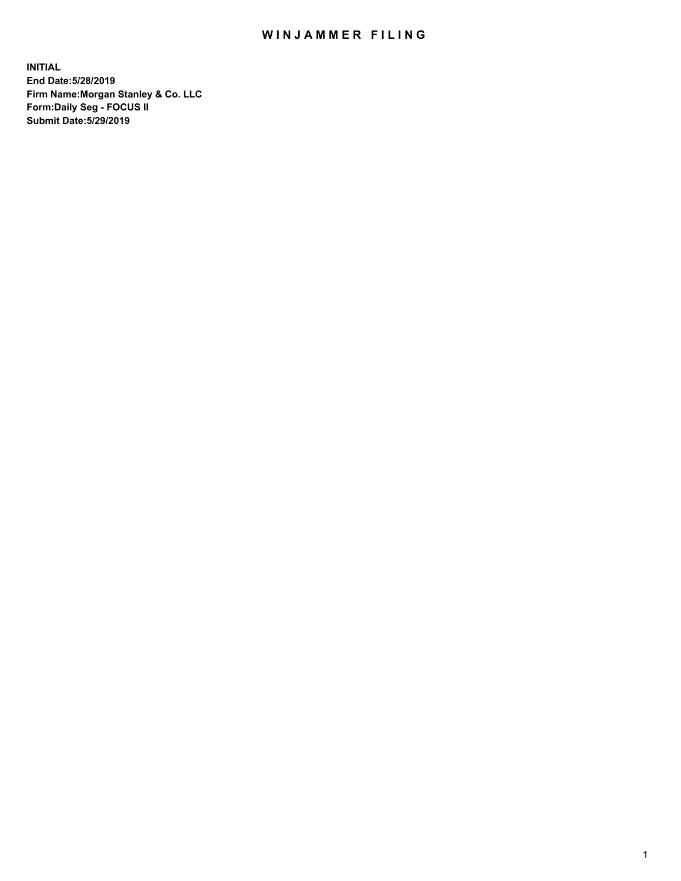## WIN JAMMER FILING

**INITIAL End Date:5/28/2019 Firm Name:Morgan Stanley & Co. LLC Form:Daily Seg - FOCUS II Submit Date:5/29/2019**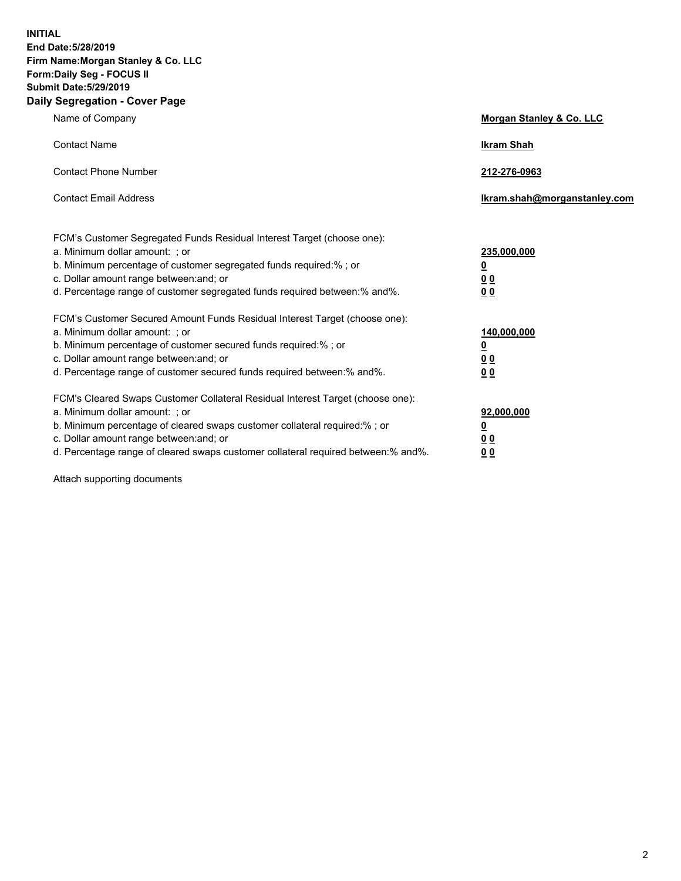**INITIAL End Date:5/28/2019 Firm Name:Morgan Stanley & Co. LLC Form:Daily Seg - FOCUS II Submit Date:5/29/2019 Daily Segregation - Cover Page**

| Name of Company                                                                                                                                                                                                                                                                                                                | Morgan Stanley & Co. LLC                                    |
|--------------------------------------------------------------------------------------------------------------------------------------------------------------------------------------------------------------------------------------------------------------------------------------------------------------------------------|-------------------------------------------------------------|
| <b>Contact Name</b>                                                                                                                                                                                                                                                                                                            | <b>Ikram Shah</b>                                           |
| <b>Contact Phone Number</b>                                                                                                                                                                                                                                                                                                    | 212-276-0963                                                |
| <b>Contact Email Address</b>                                                                                                                                                                                                                                                                                                   | Ikram.shah@morganstanley.com                                |
| FCM's Customer Segregated Funds Residual Interest Target (choose one):<br>a. Minimum dollar amount: ; or<br>b. Minimum percentage of customer segregated funds required:% ; or<br>c. Dollar amount range between: and; or<br>d. Percentage range of customer segregated funds required between:% and%.                         | 235,000,000<br><u>0</u><br>0 <sub>0</sub><br>0 <sub>0</sub> |
| FCM's Customer Secured Amount Funds Residual Interest Target (choose one):<br>a. Minimum dollar amount: ; or<br>b. Minimum percentage of customer secured funds required:%; or<br>c. Dollar amount range between: and; or<br>d. Percentage range of customer secured funds required between:% and%.                            | 140,000,000<br><u>0</u><br>0 <sub>0</sub><br>0 <sub>0</sub> |
| FCM's Cleared Swaps Customer Collateral Residual Interest Target (choose one):<br>a. Minimum dollar amount: ; or<br>b. Minimum percentage of cleared swaps customer collateral required:% ; or<br>c. Dollar amount range between: and; or<br>d. Percentage range of cleared swaps customer collateral required between:% and%. | 92,000,000<br><u>0</u><br><u>0 0</u><br>00                  |

Attach supporting documents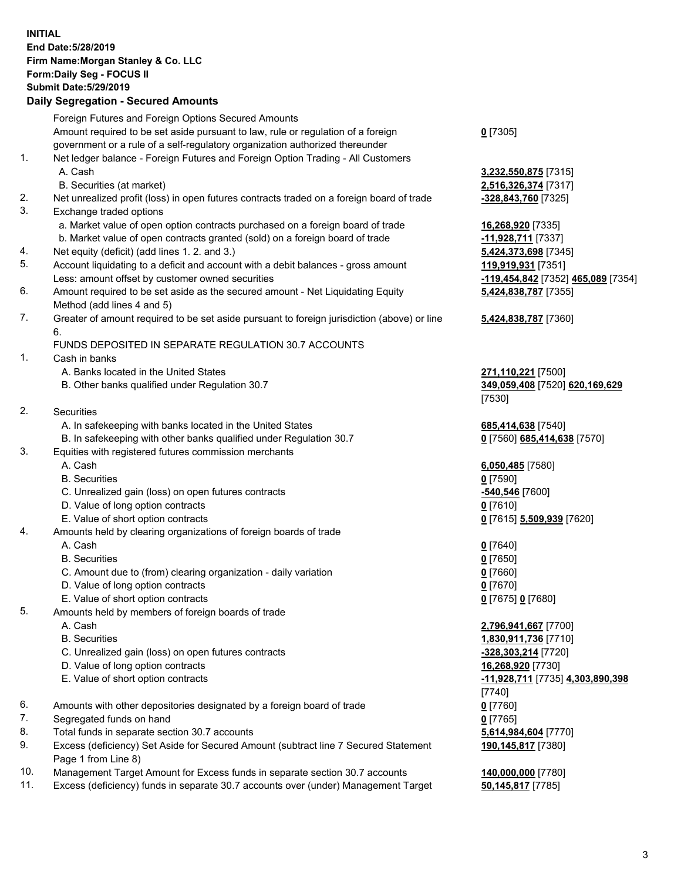## **INITIAL End Date:5/28/2019 Firm Name:Morgan Stanley & Co. LLC Form:Daily Seg - FOCUS II Submit Date:5/29/2019**

## **Daily Segregation - Secured Amounts**

|     | Foreign Futures and Foreign Options Secured Amounts                                         |                                              |
|-----|---------------------------------------------------------------------------------------------|----------------------------------------------|
|     | Amount required to be set aside pursuant to law, rule or regulation of a foreign            | $0$ [7305]                                   |
| 1.  | government or a rule of a self-regulatory organization authorized thereunder                |                                              |
|     | Net ledger balance - Foreign Futures and Foreign Option Trading - All Customers<br>A. Cash  |                                              |
|     | B. Securities (at market)                                                                   | 3,232,550,875 [7315]<br>2,516,326,374 [7317] |
| 2.  | Net unrealized profit (loss) in open futures contracts traded on a foreign board of trade   | -328,843,760 [7325]                          |
| 3.  | Exchange traded options                                                                     |                                              |
|     | a. Market value of open option contracts purchased on a foreign board of trade              | 16,268,920 [7335]                            |
|     | b. Market value of open contracts granted (sold) on a foreign board of trade                | -11,928,711 [7337]                           |
| 4.  | Net equity (deficit) (add lines 1.2. and 3.)                                                | 5,424,373,698 [7345]                         |
| 5.  | Account liquidating to a deficit and account with a debit balances - gross amount           | 119,919,931 [7351]                           |
|     | Less: amount offset by customer owned securities                                            | -119,454,842 [7352] 465,089 [7354]           |
| 6.  | Amount required to be set aside as the secured amount - Net Liquidating Equity              | 5,424,838,787 [7355]                         |
|     | Method (add lines 4 and 5)                                                                  |                                              |
| 7.  | Greater of amount required to be set aside pursuant to foreign jurisdiction (above) or line | 5,424,838,787 [7360]                         |
|     | 6.                                                                                          |                                              |
|     | FUNDS DEPOSITED IN SEPARATE REGULATION 30.7 ACCOUNTS                                        |                                              |
| 1.  | Cash in banks                                                                               |                                              |
|     | A. Banks located in the United States                                                       | 271,110,221 [7500]                           |
|     | B. Other banks qualified under Regulation 30.7                                              | 349,059,408 [7520] 620,169,629               |
| 2.  |                                                                                             | [7530]                                       |
|     | Securities                                                                                  |                                              |
|     | A. In safekeeping with banks located in the United States                                   | 685,414,638 [7540]                           |
| 3.  | B. In safekeeping with other banks qualified under Regulation 30.7                          | 0 [7560] 685,414,638 [7570]                  |
|     | Equities with registered futures commission merchants<br>A. Cash                            |                                              |
|     | <b>B.</b> Securities                                                                        | 6,050,485 [7580]                             |
|     |                                                                                             | $0$ [7590]                                   |
|     | C. Unrealized gain (loss) on open futures contracts<br>D. Value of long option contracts    | -540,546 [7600]                              |
|     | E. Value of short option contracts                                                          | $0$ [7610]<br>0 [7615] 5,509,939 [7620]      |
| 4.  | Amounts held by clearing organizations of foreign boards of trade                           |                                              |
|     | A. Cash                                                                                     | $0$ [7640]                                   |
|     | <b>B.</b> Securities                                                                        | $0$ [7650]                                   |
|     | C. Amount due to (from) clearing organization - daily variation                             | $0$ [7660]                                   |
|     | D. Value of long option contracts                                                           | $0$ [7670]                                   |
|     | E. Value of short option contracts                                                          | 0 [7675] 0 [7680]                            |
| 5.  | Amounts held by members of foreign boards of trade                                          |                                              |
|     | A. Cash                                                                                     | 2,796,941,667 [7700]                         |
|     | <b>B.</b> Securities                                                                        | 1,830,911,736 [7710]                         |
|     | C. Unrealized gain (loss) on open futures contracts                                         | -328,303,214 [7720]                          |
|     | D. Value of long option contracts                                                           | 16,268,920 [7730]                            |
|     | E. Value of short option contracts                                                          | -11,928,711 [7735] 4,303,890,398             |
|     |                                                                                             | [7740]                                       |
| 6.  | Amounts with other depositories designated by a foreign board of trade                      | $0$ [7760]                                   |
| 7.  | Segregated funds on hand                                                                    | $0$ [7765]                                   |
| 8.  | Total funds in separate section 30.7 accounts                                               | 5,614,984,604 [7770]                         |
| 9.  | Excess (deficiency) Set Aside for Secured Amount (subtract line 7 Secured Statement         | 190,145,817 [7380]                           |
|     | Page 1 from Line 8)                                                                         |                                              |
| 10. | Management Target Amount for Excess funds in separate section 30.7 accounts                 | 140,000,000 [7780]                           |

11. Excess (deficiency) funds in separate 30.7 accounts over (under) Management Target **50,145,817** [7785]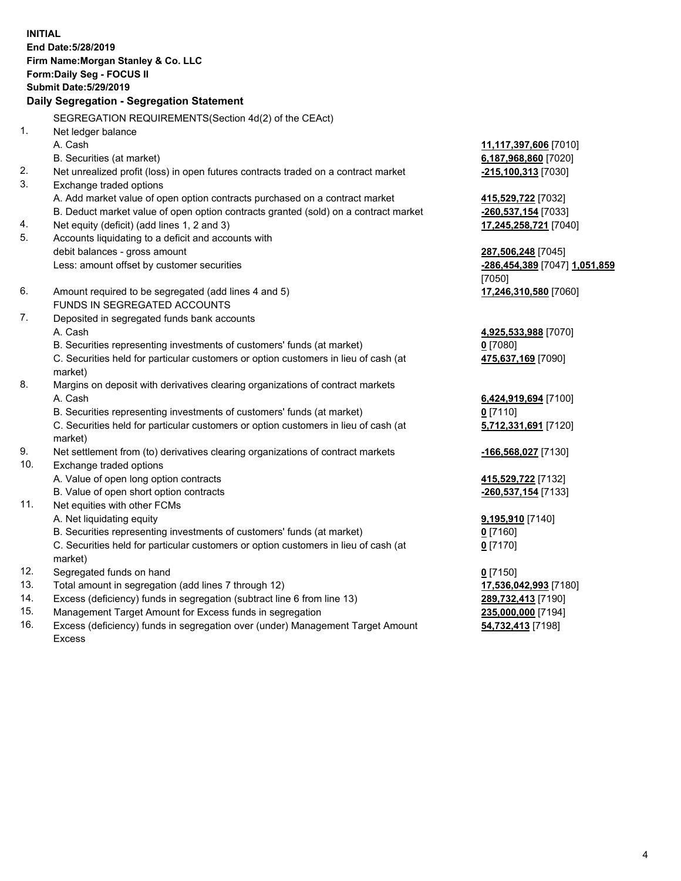**INITIAL End Date:5/28/2019 Firm Name:Morgan Stanley & Co. LLC Form:Daily Seg - FOCUS II Submit Date:5/29/2019 Daily Segregation - Segregation Statement** SEGREGATION REQUIREMENTS(Section 4d(2) of the CEAct) 1. Net ledger balance A. Cash **11,117,397,606** [7010] B. Securities (at market) **6,187,968,860** [7020] 2. Net unrealized profit (loss) in open futures contracts traded on a contract market **-215,100,313** [7030] 3. Exchange traded options A. Add market value of open option contracts purchased on a contract market **415,529,722** [7032] B. Deduct market value of open option contracts granted (sold) on a contract market **-260,537,154** [7033] 4. Net equity (deficit) (add lines 1, 2 and 3) **17,245,258,721** [7040] 5. Accounts liquidating to a deficit and accounts with debit balances - gross amount **287,506,248** [7045] Less: amount offset by customer securities **-286,454,389** [7047] **1,051,859** [7050] 6. Amount required to be segregated (add lines 4 and 5) **17,246,310,580** [7060] FUNDS IN SEGREGATED ACCOUNTS 7. Deposited in segregated funds bank accounts A. Cash **4,925,533,988** [7070] B. Securities representing investments of customers' funds (at market) **0** [7080] C. Securities held for particular customers or option customers in lieu of cash (at market) **475,637,169** [7090] 8. Margins on deposit with derivatives clearing organizations of contract markets A. Cash **6,424,919,694** [7100] B. Securities representing investments of customers' funds (at market) **0** [7110] C. Securities held for particular customers or option customers in lieu of cash (at market) **5,712,331,691** [7120] 9. Net settlement from (to) derivatives clearing organizations of contract markets **-166,568,027** [7130] 10. Exchange traded options A. Value of open long option contracts **415,529,722** [7132] B. Value of open short option contracts **-260,537,154** [7133] 11. Net equities with other FCMs A. Net liquidating equity **9,195,910** [7140] B. Securities representing investments of customers' funds (at market) **0** [7160] C. Securities held for particular customers or option customers in lieu of cash (at market) **0** [7170] 12. Segregated funds on hand **0** [7150] 13. Total amount in segregation (add lines 7 through 12) **17,536,042,993** [7180] 14. Excess (deficiency) funds in segregation (subtract line 6 from line 13) **289,732,413** [7190]

- 15. Management Target Amount for Excess funds in segregation **235,000,000** [7194]
- 16. Excess (deficiency) funds in segregation over (under) Management Target Amount Excess

**54,732,413** [7198]